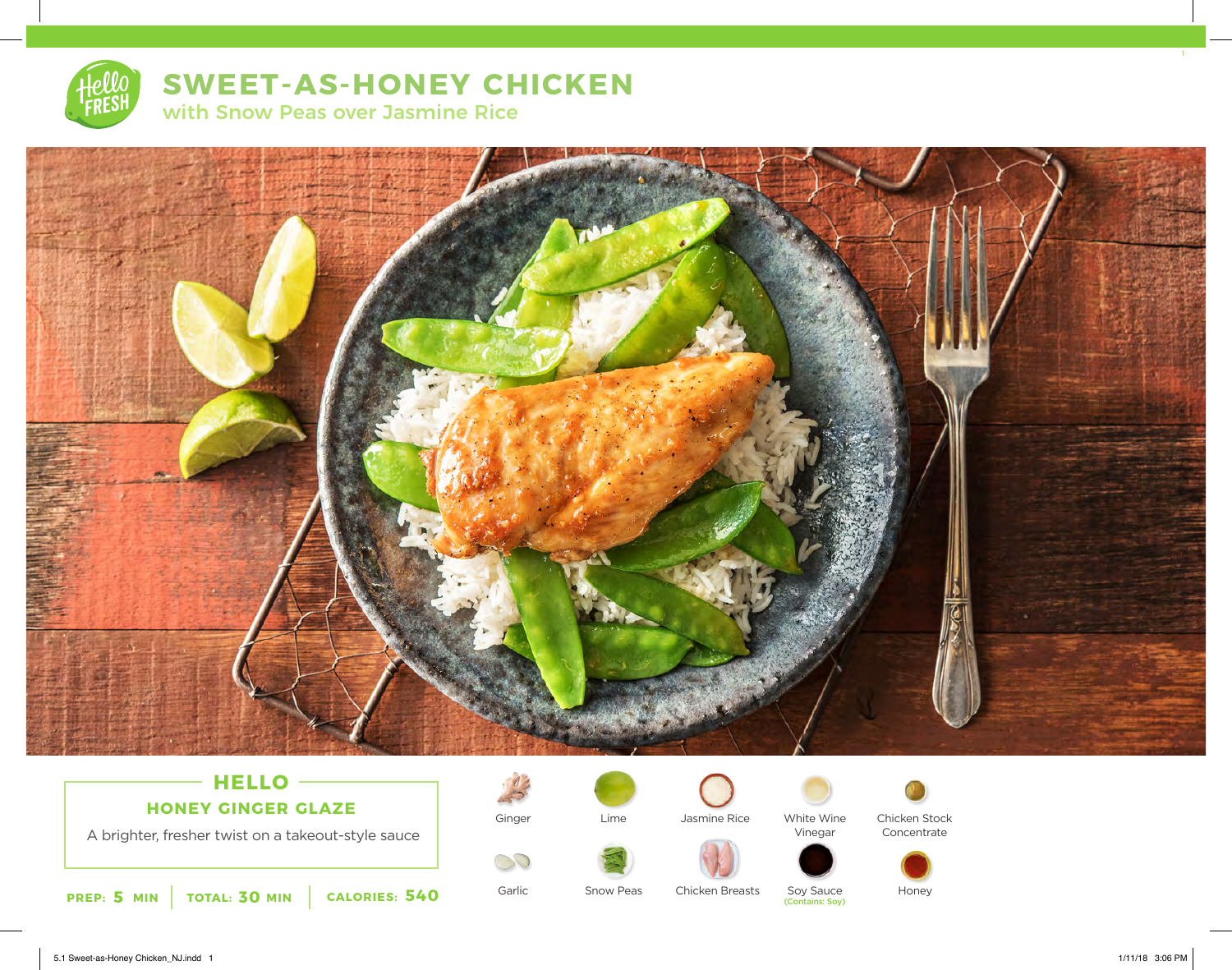

# **SWEET-AS-HONEY CHICKEN**

with Snow Peas over Jasmine Rice



# **HELLO HONEY GINGER GLAZE**

A brighter, fresher twist on a takeout-style sauce





Garlic

BO

Lime



Jasmine Rice White Wine

Chicken Breasts







Vinegar

Concentrate



Chicken Stock

Soy Sauce<br>(Contains: Soy)